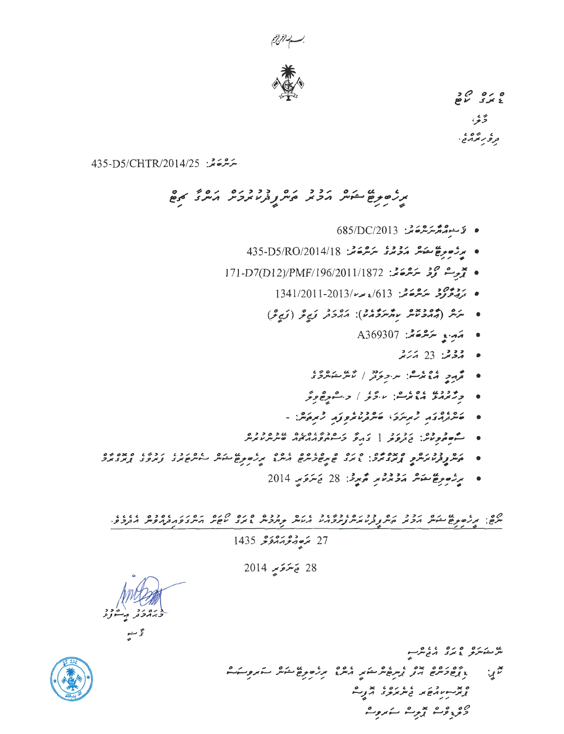



 $20000$ ۇي ، رسم در د.<br>تر *و ر* بو بر د<sub>.</sub>

ىئەشقەشىز 435-D5/CHTR/2014/25

# مرد صوفع مشوش مروح مره و د د د و مره و مره می مردم کرده د

- $685/DC/2013$  فَاسْتِقْتُمْتَمْتَرْسُرْعَةَ مِنْ
- يرزمبرغ يقبش مَدْيْرْ مَسْرَمَيْنْ 18/2014/18 435-D5/RO/2014
- يَجْرِسْ كَوْمْ سَرْسْمَةْ بْنْ: 171-D7(D12)/PMF/196/2011/1872
	- يەم دورود بېر يېڭىز 613/ مەررا 1341/2011-2013
	- - A369307 مَصْدِ بِهِ سَرْهُرْهَ جَمْهِ بِهِ بِ
			- يۇقىغا 23 ئەنزىقە
		- ه محمد و دوم دوم در دوم در در در دارد.<br>• محمد و محمد محمد مسترد و در استر مشترد و
		-
		- . مصرور دو در در دوره در دور در در در در در در در در دادند.
	- ه و وه درد در در دره در ۱۵۷۶ میلاده دوه<br>• سیسه مورد در درو در در در در در در سیس در در
- ره دوره ومده و دوره دره دوره دوره دوره دره بالمشهر بدارد دوره دوره در دوره در دوره<br>• میگروفرمنتر کرم از محمد در از این از این است بر ره بر طریق کشش سوسر کار در از این در در از این در این در این
	- برژمېرغ ئىشلا مۇۋۇم بىر مەيرى: 28 يىترى بىر 2014

27 <del>مُرەبمۇمەمۇكى</del> 1435

28 يَسْرَىَبِ 2014



يو د ده و ده ده ده مرد x ، ده ده ده ، ده ، ده ده ده و ده ده ده د از مندوسک ەر وە دې بېر ئەروپ،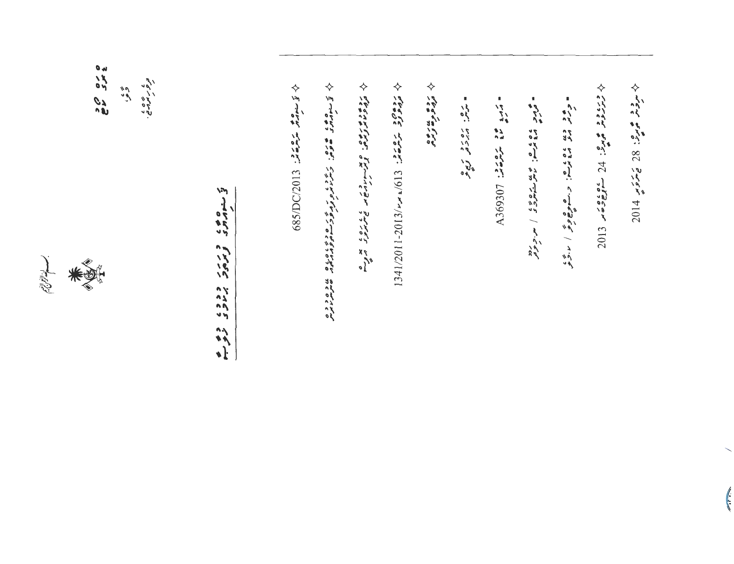

ang ara<br>B<sup>ung</sup> ي ځ ده ځ .<br>تر *و ر مر*من  $\tilde{\zeta}$ 

ن سامگاه و بربر ددد، دو به

 $1341/2011-2013/4$   $\sim$  1/613  $293/5$ ب⁄ روه و » روه<br>مروه و سر

= سرمر: مهروم و مبره

 $\sim 2.5$  3.5 میلاد میلاد میلاد میلاد میلاد میلاد میلاد میلاد میلاد میلاد میلاد میلاد میلاد میلاد میلاد میلاد میلاد میلاد میلاد میلاد میلاد میلاد میلاد میلاد میلاد میلاد میلاد میلاد میلاد میلاد میلاد میلاد میلاد میلاد میلا

 $\begin{array}{l} \frac{1}{2} & \frac{1}{2} & \frac{1}{2} & \frac{1}{2} & \frac{1}{2} & \frac{1}{2} & \frac{1}{2} & \frac{1}{2} & \frac{1}{2} & \frac{1}{2} & \frac{1}{2} & \frac{1}{2} & \frac{1}{2} & \frac{1}{2} & \frac{1}{2} & \frac{1}{2} & \frac{1}{2} & \frac{1}{2} & \frac{1}{2} & \frac{1}{2} & \frac{1}{2} & \frac{1}{2} & \frac{1}{2} & \frac{1}{2} & \frac{1}{2} & \frac{1}{2} & \frac{1}{$ 

ه چو دره دوه دوده. د سوچ *وي ا درو*<br>د مرسم ملا دوه دستوچ *وي ا درو* 

 $\Diamond$  in the set of  $\angle$  in  $\angle$  in  $\angle$  in  $\angle$  in  $\angle$  in  $\angle$  in  $\angle$  in  $\angle$  in  $\angle$  in  $\angle$  in  $\angle$  in  $\angle$  in  $\angle$ 

 $\left($ 

 $2013$  and  $24.2$  and  $2.4.3$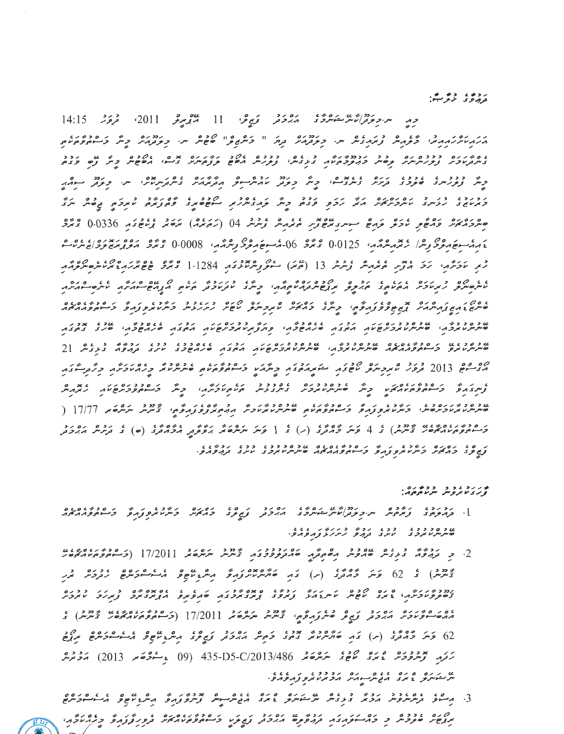رده و د مخ

وم مرونز الأشرىقة ووقت مرون من 11 ميمبر 2011 مرون 14:15.<br>مرد مرونز الأشرىقة مرون من المحمد المحمد المحمد المحمد المحمد المحمد 14:15. ه ه پر بره دوده بره دود برودد پر بره دوده از دوده ایراد در بربره ایده ایراد و شرکت از دود.<br>دسرتر برفر از فربر سرسر بر موجود مربور می در بربر برای موجود بربر اوست از موجود بر از موجود و بر ه دود په پاده دره په ده ویکړ دود دوه و په ده ده ده ده ده ده ده د د ده د د ده د د د د د د د د د د د د د د د د د<br>ویکړ اولورینړۍ هنوچرۍ تریزیز په دې د شر و نوتر اندیکر مرکز د د د د د د د د د و نوتر سوډير קבקבור בקרים ממקסקים וקמו קבודה קבודה מיוחד בין המיוחד בין מיוחד בין המיוחד בין המיוחד וקבודה בין המיוחד וקבוד<br>המיוחדו קבודה מיותכת אמת אמת קבודה פיניה ובמיוחד ולקודו בין המיוחד ומיוחד ומיוחד בין מיוחד וקבודה בין המיוחד ו ھىرىرى ئەھكىم ئازىم ئوم ھەسىرى مەھلار ئەمەمىر ئوماما (ئەمەمە) مەھلەر ئەندى 0.0336 ئەمەر ، مەمەسىۋېرىرى بەرلار ئەترەپىرىگەر، 0.0125 ° ئەنگەر 60-مەسىۋەرىرى بولىگەر، 0.0008 كەنگەر مەمەر بەرەپ بەرە ئەن رىر ئەۋگەن ئەق ئەدىر ئەيمەمە ئەشەر 13 (ئىت) مەھمەمەدىمە 1.1284 مى ئەمەمەمەدە ئەمەمەمەمەمەم שנסנכל שנסנכונסיו וכן המבוסס בין המבוסק.<br>סיקייק את האיקרי המקורית המבוח לא המשלף ומקוד המבוח המבוח לא השלחי לא במבוח מכסכות הסכלוסים מכסככל המכסכל מכסכל היה ומכלים בכן ככל הכלל כי 2<br>שיתית מתקיפ כי הספת המית שיתית מתקים המית מתקים מקור מית המשקים מית מתקיפה בתבית 19 ۵۰ مه 2013 فرور صمروسرو مهور مقدرتمور وشرته وسلمرومين ودود وروماوش وگرم ور په د ه د پر بره د په د په د په د په د د په د په د د په د د د په د په د په د د د .<br>ه سرس پر پر بروس په د سرس پر و ته د شوه و پر په د سرس پر پر د د به چه پر تر و ته د به به شرکت په د ۱7/77 ( ر ۱۶۵۵ در ۱۶۵۵ بردد و ) به 4 ترمز شود به در از ) از از از از از ۲۵۵ در ۱۶۵۵ و برابرد در از از ۱۶۵۵ در از ۱۶۵۷<br>در سوموم در موسر از سرس از 4 ترمز گرمانرد (ر) از 1 ترمز میکرده تر برقر تور مرکز مرکز (به ) از از مرکز مرکز در ו סג וסים ניזיג ו זיך וסכדיגסגם שכפיככבי ככג נכדיגס.<br>צאשית ברואייו בייניג'ות פצונים באומרוואיזו שינייניג'ות בניינד בנוקרויים.

ש קיב ביבי בכשים.<br>"צְיִיבְע אִי פִייַת יוּתְעִם, פְּחָ

- د در دعایی در دوره از در دوره از در دوره در دارد و در دوره در دوره در در در در در در دارد.<br>[. ترمزمی ترمزمین س و تر در است ستاسرو دارم بر دور در در در در سر سر در در در است می در محمد از در در در دارد
- 2. د بروه و عاه عاده و و مارد دود و دود ده دود و بازد (17/2011 ( شور ماده عاد بازد بازد بازد بازد بازد بازد با<br>2. د تروره د د دس کاموس ماهم میکن کامل د در دود و د تاریس مرکز کامل از بازد و در در در در در در در در در د پردو ، ، دی کام کام کرده (س) کام کام محمد از در در در در در در در در این کام کام کرد کام در در در در در در در המרכזיוני סים רובס ו ונגז ורכז סמסירו מגם מנוספים באוני ברובים.<br>ציסיק פיוריוני גיונג יוסיית ואיית ג'ונג' נותפיב ונותריות מניקים ומנוספים בותניה ומקבת ، قام قام در دور در قام در در قام در در قام در ۱7/2011 (می در در قام در قام در در انگیزیس) از در در انگیزیس از رَ مَنْ رَبِّعْ وَمَرْدُ عَمَرَةً مَنْ هُوْ عَمْدَةً 2013/486 (09 135-05 (09 عَمَدَ 2013) مَرْدُمْكُمْ ن مرده ه ده ده ده وره برد دود د درده د.<br>سرمش سرد و برد برج سرمتر برو برنامره و بره بره.
- 3. הריים בניתיות פיית ביותר בין בני מים בין בין הבנית היום בין בין בין היותר בניה בין בין בין בין בין בין בין<br>3. הריים בנייתיות פיית ובין ביני בית יותר בייתו הבנית ביותר בנית בניה פית היותר בניה בין הרייה בניית בניית בין دره ، دوه و دور خود نود و به دور در دور و دور دره دور دور دور و در ادام در اندام در اندام دارد.<br>مربع مودوس و در خود نود و در دوره از در در در سال در اندام در در از در در اندام در اندام در اندام در اندام در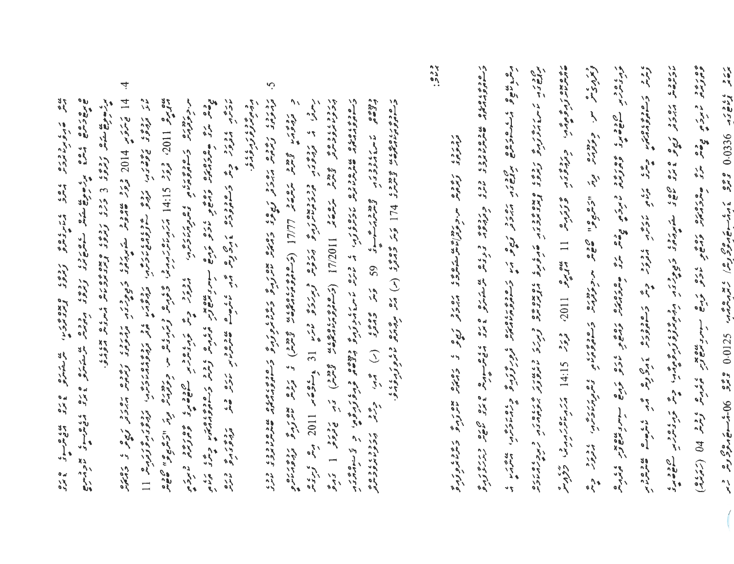ه در دار در در این موسیق از این موسیق از این موسیق از این موسیق از این موسیق از این موسیق از این موسیق از این<br>های موسیق از موسیق از موسیق از این موسیق از این موسیق از این موسیق از این موسیق از این موسیق از این موسیق از ا 

- 4 14 تيمترتر 1014 ورود ستورم کے برور در دورد اور دور دور دور دور دور سور 1100°، فروتر 14:15 برتر 14:15 برتر مرد و عربر و مرد و مرد در در اس اس و مرد اس اس و مرد اس اس و م د دره دورو و د د ودوره د او وه شهر با با های با دور د د د و د د د با دوره و دره<br>دوبرد او دور و با و ساموووس و برخ و با در با با های با د د د د و د از د د با د با د د با د د د د د د د د د د ۶۸ وه د د د د د د ک
- Ç, دوده میرود و میرود و هندو از و می همود (ر) می و می می دهد.<br>دوده میرود و میرود و میرم د ودمن ومن المال المال (وسامه ومن ده ومن و مرده من من المسابق و المسابق المسابق المسابق المسابق المسابق المسابق<br>د المسابق المسابق المسابق المسابق المسابق المسابق المسابق المسابق المسابق المسابق المسابق المسابق المسابق الم reading twie " and [[O]] (Engelouples twie) in sect line י סבדי סגם שבכס גים גים גים בין בים הייתה הוא הייתה הפנדדים בגלידים.<br>ב-הספרונים מיני שיני המיני אבית פני ההיית אייגד להתפרונים והציים תניכצות כי צי-הוני בגו رسود به دومن ودردیده به پروهر ویرده می دید او عنوه 10% برای برای

 $\ddot{\ddot{\theta}}$ ده دور د در و ده ده از موره ده ده ده و در در دار می سوارد برج در در در در از این این این در در در در در در این<br>دورونده نامرد به ده سرد میرد استان داستان ناد و میان سوارد برج در در در در در در این این این این این این این ا ويم كي سر. وتوفرات وله الري المالي من وها من ولاي وتحوي والمعرب والمتوافر المالي المتوفر والمعرب المتحركة المت<br>ويحركون سر. وتوفرات وله الرياني المحركة من الموفرات وتحصوه والمتحركة والمتوفرات المتوفرات ing 1945 profesor 06000 222 inh-mangered inventor CZ000 222 000-mangered in 

 $\left(\begin{array}{c} \end{array}\right)$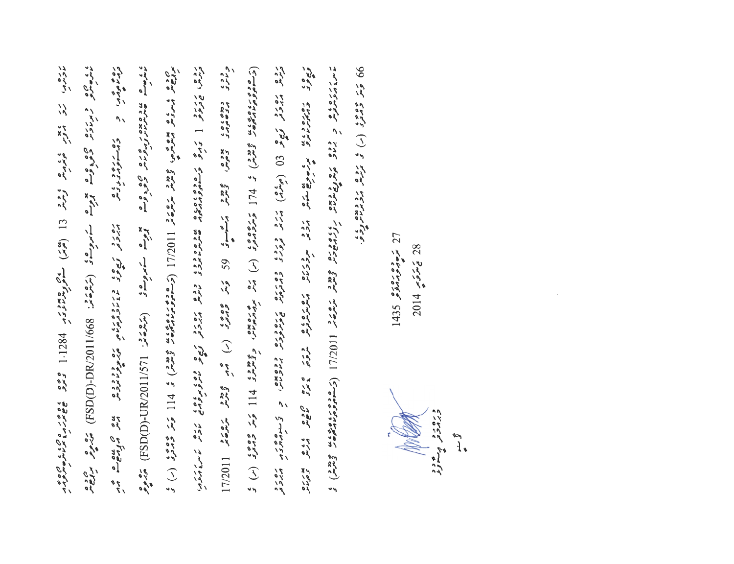announce is a comme fire (1 (22) nativer 1821.1 220 and 200 11 200 200 1000 ن على الله المحدود المحرم المحمود وهي المجموع المحموع المحمد (مراكة 1/5/11/2011) (SH) من مع المحمود رده میروز نیچو (9) (میلام) مرکز درده دوری دوروه دروه بر اقسومتر در استاد در در دوره به دوم י סטי הסמטרנטית ומי מיקום לכל מרגום מסמסטים בית סמם לכס צימים.<br>נשיר הממונטית ומיקום מיקום להגוג מרגום מסמטית ומיקום בית לכס גוגי המינים. 99 ترتر 2023 (١) تو ترومه برد ويوه دي. ده چې د د مرده د دونه<br>ترمنوومبر، د د مستومبرونومبر cirs readro sea, gain gaing controlled in the gaing when IIOS/LI<br>cirs caeses sea sea gaing controlled in the gaing when IIOS/LI (ت سومود عدد الم الم المحمد المحمد المحمد المحمد المحمد المحمد المحمد المحمد المحمد المحمد المحمد المحمد المحم<br>المحمد المحمد المحمد المحمد المحمد المحمد المحمد المحمد المحمد المحمد المحمد المحمد المحمد المحمد المحمد المحم 

**MARCANT** : ۵۶۰ ز.<br>دبرمرد در مسرور

 $1435$  gives  $27$ 

 $2014$  مِتمَّ وَسِرِ 28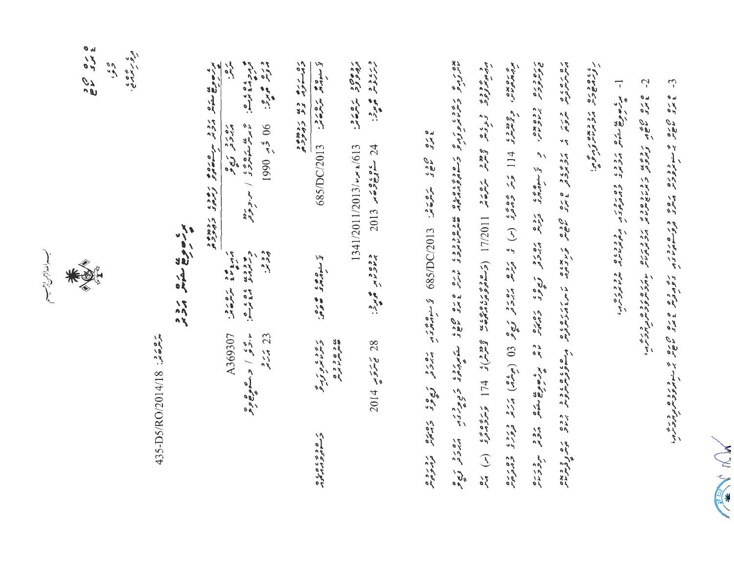N W Wall

 $\tilde{\mathcal{L}}$ 

 $\tilde{c}$ ロック つぶ しんのう いたいかんかん こんきょう たいきんきゅうかんきょう

 $\overline{a}$ برنسی من مرود و ده برور مرود ده و در ده و برخ<br>بر سوالی منتشر مرود و در دور بر مرد برنام برنام در در بر

د مود و د د و د و د و میرود برون (11/2011) (تر موده دره د و د و د الم از از از از از از از از کرد و د د از کرد<br>درومیترورد د و د د از لاس ەرە 50°، ئىرىمۇق. 2013\2010\2019 قەسىرمەترىن مەدىرى مەدىرى ئەدىرى

وردور المعادية رده9 د مره ده.<br>دروو د مره مدر 1341/2011/2013/  $\sim$   $\sim$   $\approx$  1613  $2013$   $\frac{6696}{2012}$   $\frac{66}{2012}$   $\frac{24}{24}$ د ده د .<br>پرلاترنامبر همانه: ی و و د و ه<br>همرمرم پرم  $2014$  مِدَوَيدة 28

ره رره دی ردمده.<br>داستون دی ردمده تخ سنده مع شرح شرحت: 685/DC/2013 ن سوم ده ده ده. رچ د ،<br>وسر د بره و دره ر ۵ و ۶ ، ۵ ره<br>و سوه ۶ ه رماه

ه<br>درم در ۲۵ برگ<br>درم در ۲۵ برگ دره می ده.<br>مورد می بره. یز سه منده بره از در دود<br>ما پویس سفه نوو ی / سورموبود 06 څر 1990 ودين ه دومه ، ه ، د ...<br>دربرد و ... A369307 د دور / د.مامی و د  $23$ 

برتر سورها متماش برو و .<br>برتر سورها متماش برو و ... برتر سوره می و به دور به دور به د ره رو ري و<br>مرروبر تري و 

ر کے معرض کرو و<br>مورے معرش کرو ہو

222 18<br>525 18 ، دور پره ،<br>درور پرمربي.  $\tilde{\zeta}'$ 

مسسا للدازحمن الرسب

435-D5/RO/2014/18 : 3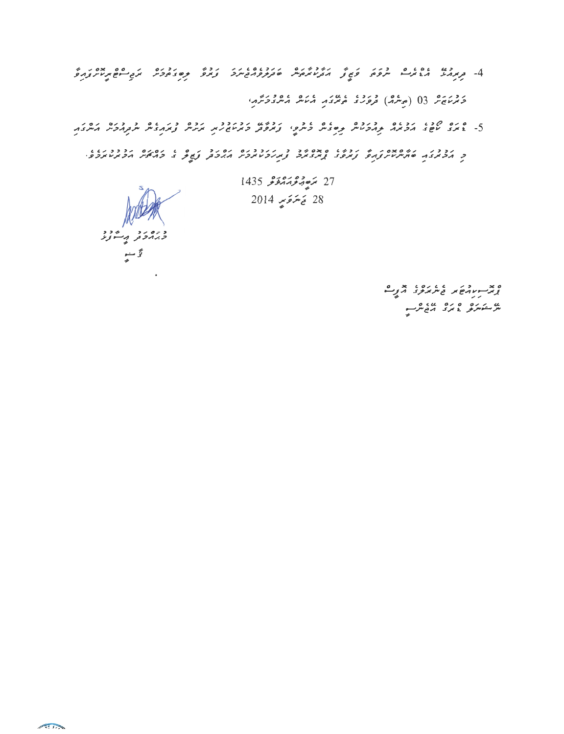בגו גם כי כי היי הוויבודים המבניים המודינים הבית הבית הפייס מסוד היי היים ביו היים.<br>4- המנייל נהרוניים ייתפת פותן והקיטומתיים שוקקפניביים צוופ קישובתכים ולפייס ומיות בניים. روبرد و 03 (مرسمه) ورود درسمه از از استانگر از انداز در این

ם מס קובו נבונה בנבה ובהם היום ובחודשות בונדבר ובה בנותבות ובנובית הותבה.<br>5- ג'ונב טיפוב הכונה קהכטות קייםבות כותפו ובונפוק כונטופית ונוגדות ובנובית הותבה. .<br>כ הכתבה סתיתמית נהל נתפב <sub>ל</sub>תבתכ נ*ת הכמתכיר ההכת* נשיך ב כהליד הכתמתכתי.<br>כ הכתבה סתיתמית נהל נתפב <sub>ל</sub>תבתכ נ*ת הכמתכיר ההכת* נשיך ב כהליד הכתמתכתי.

ورودو په دود مج<br>سمجھ سم

27 مَرْحِبْهِ جَهْدَهُ عَرْ 1435 28 يَهتوَمٍ 2014

> یں کے مردہ اس کا بات ہیں۔<br>مگر مشہور کو بات کا ان کا ان کے مگر کے مگر کے میں کھیل کے ان کے مگر کے مگر کے مگر کے

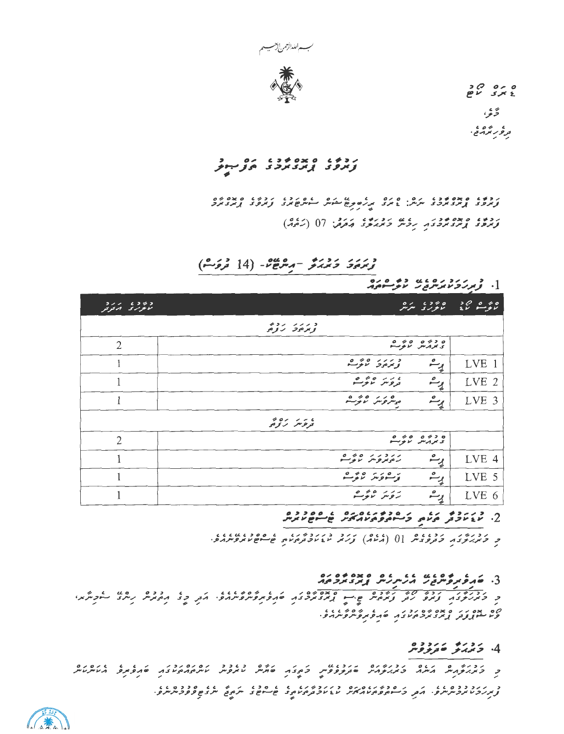

تخ غر ، ىر *قرىر تر*ەپج.

# 

رده، ه ده دور بروش رورو، محمد ( ( ) ( ) ده.)<br>وترود ارتزد ترد د بروش د بربرود محمد ( ) ( ) ( )

زْرَمَةَ دَيْرْيَرْ - مِرْشَوْءٌ - (14 تْرْوَتْ)

# $\frac{1}{2}$

| $5 - - 6352$<br>الاعزاراى المدفوقور | 01 6200<br>المتعويري المتوس                                                            | $>$ $\circ$ $\circ$ $\circ$ $\circ$<br>للموسس لاع |
|-------------------------------------|----------------------------------------------------------------------------------------|---------------------------------------------------|
|                                     | クコン・シンジコ<br>وبمرموح ترومى                                                              |                                                   |
| $\overline{2}$                      | 0 40 0 430<br>تحمرونش تموشع                                                            |                                                   |
|                                     | 0 40 111<br>ړے<br>ويرمونه لاتوسع                                                       | LVE 1                                             |
|                                     | $0 \nless 0$ $1 \nless 0$<br>وٹ<br>پیش<br>تروس لاتوسه                                  | LVE 2                                             |
|                                     | 0 40 10<br>ړے<br>پر<br>موسروسر أنوسة                                                   | LVE 3                                             |
|                                     | 40111<br>تروس رزمى                                                                     |                                                   |
| $\overline{2}$                      | 0 40 0 430<br>ويردس لانوسه                                                             |                                                   |
|                                     | $0 \nleftrightarrow 0$ $1 \nleftrightarrow 2 \nleftrightarrow 1$<br>رم<br>رەيروس ىرىسە | LVE 4                                             |
|                                     | 0 40 110 1<br>ړت<br>وسيوس تدبرسة                                                       | LVE 5                                             |
|                                     | $0 \nlesso \nlesso \nlesso$<br>رِے<br>روس روسہ                                         | LVE 6                                             |

ر کربرگرد کردوس [0 (گرمام) کرد دی دوسر می موجود می در در در

# 3. خېروبروس د بر بر د د د د د ده ده ده.<br>3. خېروبروس د بر بر بر اړبر د برد بر

. به ۲۰ در ۲۵ پرو ۶۵ در در ۲۵ مرکز می و ۲۵ در ۲۵<br>وی شوپروتر برند در حرم در ۴۵ مرکز مرکز می

#### 4. ځمدنو ص<sub>فرمو</sub>ونو

הרגום היום הרגום הרגום הרגום באירוח בין היום רובר הסקרות הרגובות בין הקוויות היום.<br>היום האופאיית הייתה כזהו פיקודית בין פיקוד בין היום בין היום המודעים היום היום היום היום היום היום לא היום בי<br>ה 

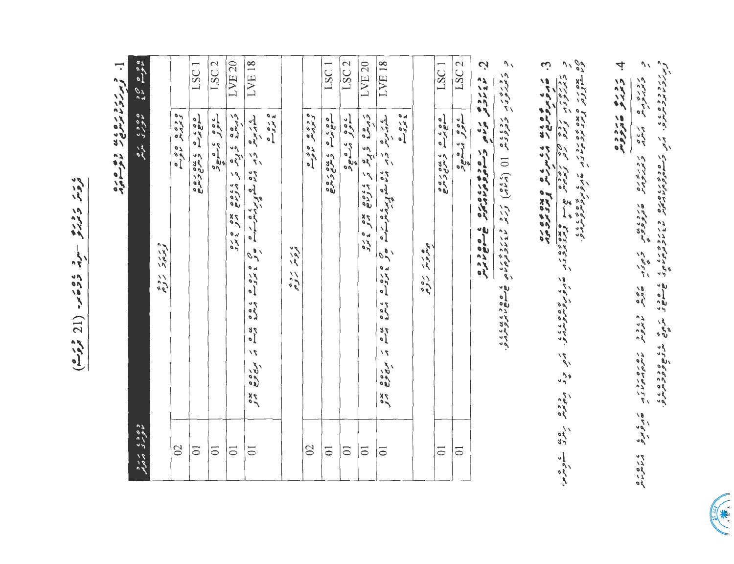ی تاریخ کارور دیو -سرژ دمخامه- (21 نورم) د بررد ره ده به ده وه م

 $\mathbf{L}$ 

|                              |          |                 | LSC <sub>1</sub> | LSC <sub>2</sub> | LVE <sub>20</sub>                                                                                                                                                                                                                | LVE <sub>18</sub> |                   |                           |                 | LSC <sub>1</sub> | LSC <sub>2</sub> | LVE <sub>20</sub>             | LVE 18         |                     |                | LSC <sub>1</sub> | LSC <sub>2</sub> | Ċ                                                 | $\mathcal{U}$ | ن                                                                                            | ^                                                                                                                                                                                             |                                                                       |
|------------------------------|----------|-----------------|------------------|------------------|----------------------------------------------------------------------------------------------------------------------------------------------------------------------------------------------------------------------------------|-------------------|-------------------|---------------------------|-----------------|------------------|------------------|-------------------------------|----------------|---------------------|----------------|------------------|------------------|---------------------------------------------------|---------------|----------------------------------------------------------------------------------------------|-----------------------------------------------------------------------------------------------------------------------------------------------------------------------------------------------|-----------------------------------------------------------------------|
| ه ۶۶۶ ماره<br>ما کمرگ ماریل  | وررر روپ | ه د په ه ه په ه | cos seus cos coc | عوو بمسعود       | ر وہ دیگر کے مادہ کا استعمال کا استعمال کا استعمال کا استعمال کا استعمال کا استعمال کا استعمال کا استعمال کا ا<br>حرمان کا استعمال کا استعمال کا استعمال کا استعمال کا استعمال کا استعمال کا استعمال کا استعمال کا استعمال کا اس |                   | s<br>1975<br>1974 | ، ر د د ده<br>تروس ر د وه | ه د په ه ه په ه | agras conde      | عصوفه ومستعيض    | ترمره ويره تر والومات مده ورو |                | ه ره ده<br>په کرد ه | ه ه د ر د ده ۶ | cos seus cos     | عوه بي هود       | ويزوم يزامون وساموم ويزوره المائيس المسامح والأره |               | ر د ه ه ه کاب د د کرد و ه کاب و ه ده ده<br>ه د ه پره نرم د کل از کرد نرم او هم کاب و ه کرد ک | ر دره .<br>د برود بر دره از دره دره بر از دره است و برای برو برو برو برو برو برای .<br>د برابرد بر از برای برابر برابر برای برای برای برو برو برو برو برابر برابر از برابر برابر برای برابر . | 0 میں در وی دون ورد د<br>ویا مشوفی وی مون ورد د سی دونی ده ده ویژه وی |
| و ۶ و ، مر د<br>ماعر ک مرتوم |          | $\Omega$        | $\overline{0}$   | $\overline{0}$   | $\overline{0}$                                                                                                                                                                                                                   | $\overline{0}$    |                   |                           | $\infty$        | $\overline{0}$   | $\overline{0}$   | $\overline{0}$                | $\overline{0}$ |                     |                | $\overline{0}$   | $\overline{0}$   |                                                   |               |                                                                                              |                                                                                                                                                                                               |                                                                       |

**Comment Comment Comment Comment Comment Comment Comment Comment** 

4 زدره مددده<br>د زمرو معرووم

כ באיזוריים ביטים באיזוריים בינים ביטים ביטים בשני מותפות ביטים ביטים ביטים ביטים.<br>באיזוריים באיזוריים באיזוריים שקורקקיים ביטים בשני מותפותפונים ביטים ביטים ביטים.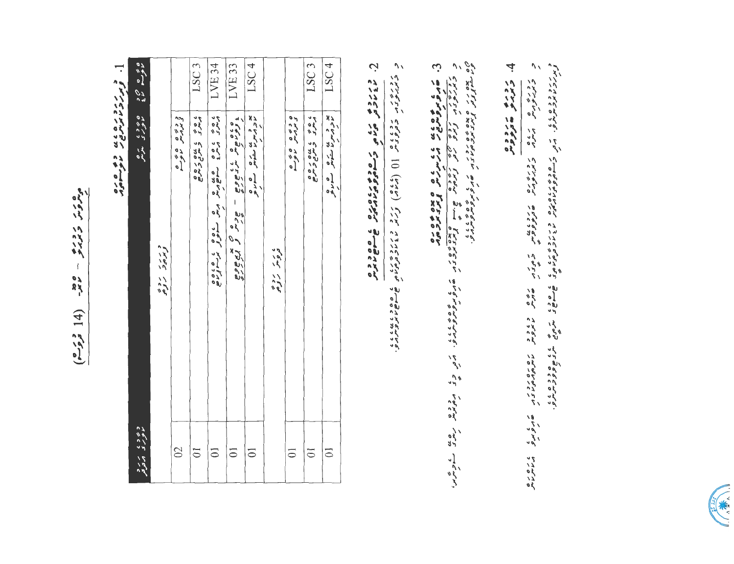סית בבני ביי שיר (4 فور<sup>م</sup>)

 $\overline{\phantom{a}}$ oro es usororre<br>Anno 1994

| LSC <sub>4</sub> | یو و سن بن شامل کنده و<br>موور سر من شامل کنده و    | $\overline{0}$             |
|------------------|-----------------------------------------------------|----------------------------|
| LSC <sub>3</sub> | 2010 545546                                         | $\overline{0}$             |
|                  | o e s o<br>Linn<br>د دود د                          | $\overline{0}$             |
|                  | ، ر د ده                                            |                            |
| LSC <sub>4</sub> | پو و بن بن سکره هم ه ه<br>ماورسرما سکرس هم بو       | $\overline{0}$             |
| LVE 33           | ه ده مع معروف عام به مع ده مع و مع<br>- scr c road  | $\overline{0}$             |
| LVE 34           |                                                     | $\overline{0}$             |
| LSC <sub>3</sub> | 2010 545 649                                        | $\overline{0}$             |
|                  | د د ده ه ده د                                       | $\overline{\mathcal{C}}$   |
|                  | د رر د ده<br>وبرم د روم                             |                            |
|                  | ه ۶ و 9 د ه ۶ و د ۲ مرکز<br>مالوست مالا مالوری مرکز | وی وی در د<br>ماعری ارتدام |
| l                | )<br>J<br> <br>$\overline{\phantom{0}}$             |                            |

Ċ د ررد و در ده د مورد و رود و ده د و ده<br>ماندار در مرد د مورد و د مورد و ده د د د

 $\overline{\phantom{a}}$ 

د بر برد و ده ش د.<br>د بر برد ده ده ش در بر بر ه ده د بر ده د برد د بر د بر ش ش ش می ش ش می ش می د د ه با بر د بر بر بر بر بر بر بر

די זה סיפר הליין המודע מדינות בית המים המכביר מתפרוסמי בין שקפתי המתמת המים.<br>באוזליקית היירו באיזליקיקית שבוקליקיקית המים המכביר מתפרוסמי הייתה המתמת

ים מדם זו סמסמם זכון זו הם הפתופתות הגוג<br>פט האוצר צייר מדבקת זו הם הפתופתות הוא הג

3. خانون موه و عد عدد المرسر من و علاو موه.<br>د از از این موهوم این می از این موسیق از این موجود و از این موجود این این موجود این موجود این این این موجود ا<br>د از این موجود از این موجود این این موجود این این موجود این موجود ا

4 درد و مدد درده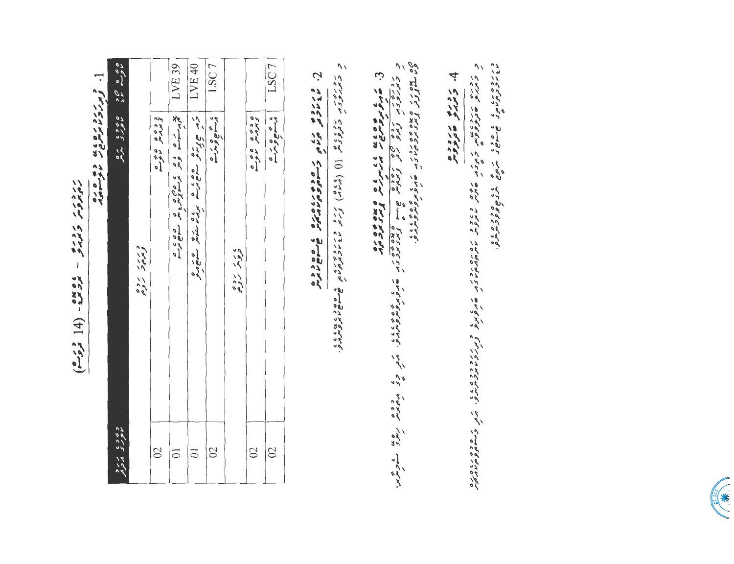| ر در در            |
|--------------------|
|                    |
| ر در در<br>جاربرا  |
|                    |
|                    |
|                    |
|                    |
| I                  |
|                    |
|                    |
|                    |
|                    |
| ، ه پوه<br>مرو مرد |
| ï                  |
|                    |
| 14)                |
| I                  |
|                    |
|                    |
|                    |
|                    |
| د روب<br>تروب      |
|                    |

]. ورزد رو ده باین ده می ده<br>[. ویرزونایوس خانوستای

| LSC7                 | ، به هې د                   | $\Omega$       |
|----------------------|-----------------------------|----------------|
|                      | ه د ده ه ه ده و             | $\infty$       |
|                      | ، ر د د ده                  |                |
| LSC7                 | ، جو ه پر م                 | $\mathcal{S}$  |
| LVE 40               | Library Cook and the Cook   | $\overline{a}$ |
| LVE 39               | بخر رے ور د کارور ور دورہ د | $\overline{0}$ |
|                      | د د ده ه د د ه              | $\mathbb{S}^1$ |
|                      | وررد روده                   |                |
| ە بەر مەد<br>مەم مەد | ه ۶۶۶ مرحا<br>موری مربع     | د ۶۶۶ و بر د   |
|                      |                             |                |

2. ماروس در ده می ده ده دره دره ده ده ده<br>2. ماروس در ده می ده ده دره دره ده می ده ده

د روری د کوروی () (کارام) ترک د در دوری هاست کاربود.<br>د بربرد د کروی از () (کارام) ترک د د در دوری هاست کاربود.

3. قانون موه علم علم عام مردون و علاق و و ده .<br>- د جود موه مردون المردون و المدون و مردون المردون و المردون المردون المردون المردون المردون المردون .<br>- المردون المردون المردون المردون المردون المردون المردون المردون المرد

4 دره مورده

ور برون در در ورون در مرده در ورون برون به در ورون برابر ورون برابر ورون برابر ورون برابر ورون برابر ورون براب<br>در برابر ورون برابر برابر ورون برابر برابر ورون برابر ورون برابر ورون برابر ورون برابر ورون برابر ورون برابر و כ הודיק שהצפתיו, ד הז הים בגוב באבר ד המתונית הים הפתופ צת דבר בגם היה הגם השתופה.<br>ד הודיק שהצפתיו, ד הם היות מתונית מתונית היה שהפתופ צת דבר מתחתית.

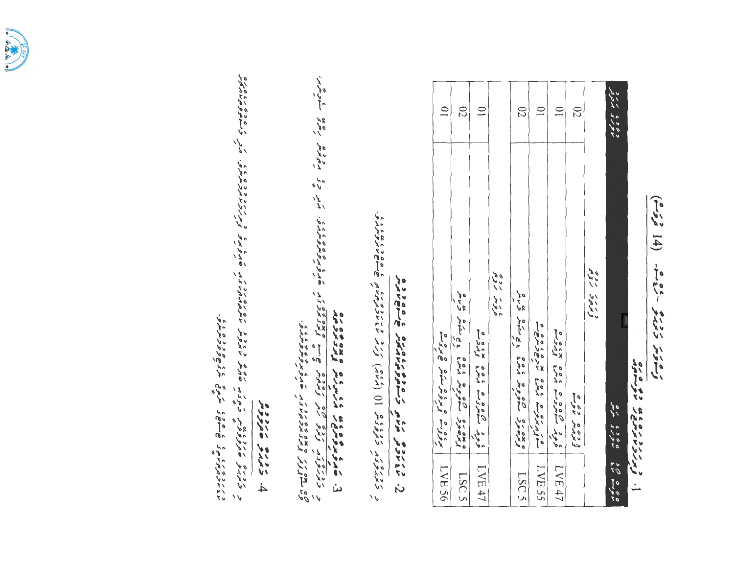

exploration and was procedured.

و ویره برد دینایا بر می برخان دی ده برن بروم بر برای در برند و در در در دینایا برای برن دین برن برن برن برن به<br>در جهزینی تکاویوی ویلی خهزین تکاویس مایروس ماسرمیرمهای تاریخ تولیز ترم تاریخ باید برنامهای برای حسامه و هزمانه  $h$  crys are  $f$ 

and the subsequent and and strengen and newships. We exact the subset of the strengent, on the strengent, and the strengent of the strengent, and the strengent of the strengent of the strengent of the strengent of the str

و *خمدون* و دووی ه 10 (داده) ورو در دوه مرد ه هام ها دود.<br>د دمدرون و دووید 10 (داده) ورد مودرمرد به هام هام دود.

2. ش نام دوم مربع در موم مربع مربع شهر مود مر<br>2. ش نام دوم مربع می در مورم مربع می شهر میگر

| $\overline{\phantom{0}}$                                                                                                                                                                                                                                                                                                                                                                                                          | 02                        | $\subseteq$   |                            | 02                       | $\overline{\phantom{0}}$ | $\overline{\mathbf{C}}$                             | 02                         |                                      | د جوری مرسود<br>معوری مرسود |
|-----------------------------------------------------------------------------------------------------------------------------------------------------------------------------------------------------------------------------------------------------------------------------------------------------------------------------------------------------------------------------------------------------------------------------------|---------------------------|---------------|----------------------------|--------------------------|--------------------------|-----------------------------------------------------|----------------------------|--------------------------------------|-----------------------------|
| $\exp\left(-\frac{1}{2} \int \frac{1}{2} \int \frac{1}{2} \int \frac{1}{2} \int \frac{1}{2} \int \frac{1}{2} \int \frac{1}{2} \int \frac{1}{2} \int \frac{1}{2} \int \frac{1}{2} \int \frac{1}{2} \int \frac{1}{2} \int \frac{1}{2} \int \frac{1}{2} \int \frac{1}{2} \int \frac{1}{2} \int \frac{1}{2} \int \frac{1}{2} \int \frac{1}{2} \int \frac{1}{2} \int \frac{1}{2} \int \frac{1}{2} \int \frac{1}{2} \int \frac{1}{2} \$ | oxoxo do co con istra cin |               | ي د سر د ده<br>د د سر د ده | exate deca vos sãndo são | a colo x colo di di di   | $s$ of $\mu$ and $s$ or $\sigma$ or $s$ or $\sigma$ | ويرمير دوم ه<br>ديرمير دوم | و مده د / / / ده<br>د مده د / / / ده |                             |
|                                                                                                                                                                                                                                                                                                                                                                                                                                   | LSC <sub>5</sub>          | $\sqrt{N}$ 47 |                            | LSC5                     | LVE 55                   | $LNT$ 47                                            |                            |                                      |                             |

 $5 - 5 = 14$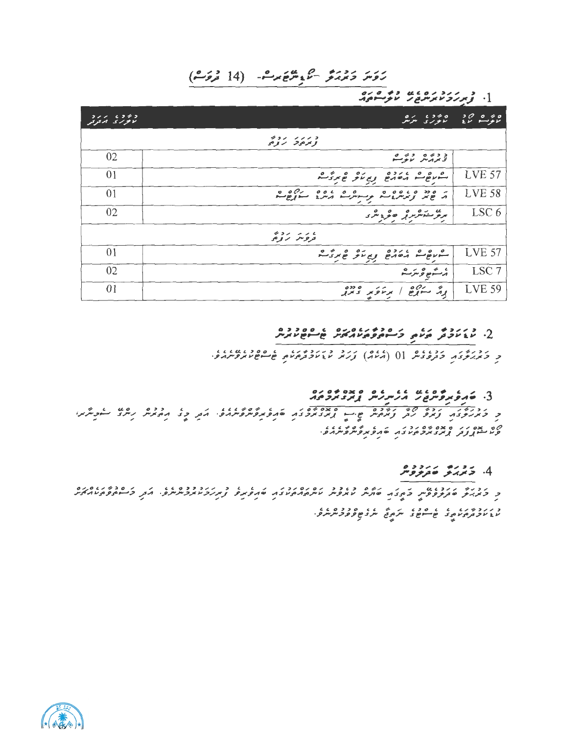## رَوَسَ دَمِرْمَرٌ - كَمَعْ مِرْهُ - (14 مْرَوَسْ)

# 

| 211 6222<br>الأنواراي المافرقر | $0 \times 0.250$<br>- ما بور با مىمرىلى                                                | 200000<br>مالونسيو الأع |
|--------------------------------|----------------------------------------------------------------------------------------|-------------------------|
|                                | チコン・シンシコ<br>وبمرجوحه المروجي                                                           |                         |
| 02                             | د ده ۵ ده می                                                                           |                         |
| 01                             | ربي متوقع بروم<br>0 > < c<br>$\circ$ $\circ$ $\circ$<br>pron prove                     | <b>LVE 57</b>           |
| 01                             | ر ۵ دد ۵ ده ده ۵ ده ۵ ده ۵ د ۵ ده ده<br>در جایز ویرس دست موسوس در مربع سووج سو         | <b>LVE 58</b>           |
| 02                             | برنز منكرمرتر للحرو بثرا                                                               | LSC 6                   |
|                                | そうン・シンム<br>تروس رومى                                                                   |                         |
| 01                             | ويم لكو همرد مث<br>0 > c<br>$\circ$<br>$\mathbf{c}$<br>$\boldsymbol{c}$<br>Corean read | <b>LVE 57</b>           |
| 02                             | ى گەھ <sub>ۋ</sub> قرىرگ                                                               | LSC <sub>7</sub>        |
| 01                             | . سەرھ<br>ا برغۇبر دىندى<br>بوتر                                                       | <b>LVE 59</b>           |

# 

د درور درور داده از (کرده) درد در دورد و در دورد داده داده داده.<br>د کمبربروکار داروکار ((کرد) ورس سازمادگرورسی طالع عام بروس

# י התפתפית בין גם ביני היה ביני היה ביני היה ביני היה ביני היה ביני היה ביני היה ביני היה ביני היה ביני היה בינ<br>ביני היה ביני היה ביני היה היה ביני היה ביני היה ביני היה ביני היה ביני היה ביני היה ביני היה ביני היה ביני הי

נ בעלים ביט קש נשלם שיים במסים בי שוט שטימוני את כי ויסונית ניתוב לקבותו.<br>כ כמותבו נמים וב נמיקיות שיים גמבמכבו שופתיסיונית ואת כי ויסונית ניתוב לקבותו. ם מסגנ המה מה גבוג המקור מים מים בין.<br>קעישות נבק המבמכה עבוד להפמקייק מקור כי

### 4. 5 دره دردوه

נכנים ננכנט עם המנוע המים בגבב נסנסים.<br>כדורגות שתתפתות בהצה שתוות מתפות מיתהההמצה שהפתם צונקים מתכוות ביותר התרבות באותם המהאה 

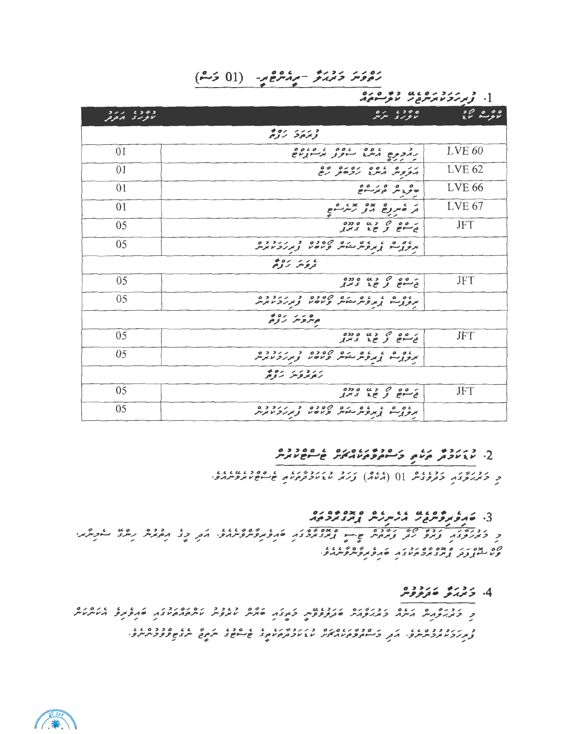$(0.601)$  - رَمُهُمْ - رَمُهُمْ الْمَسْ (01 دَمْ)

CO CO CONTRACTO CO

| و دوه در در د<br>تانوری ارتزایل | ە برە دە<br>ئانورى سەنتر                                                       | ەمۇر مۇد          |
|---------------------------------|--------------------------------------------------------------------------------|-------------------|
|                                 | 0011113<br>ويرموحا الراوحى                                                     |                   |
| 01                              | 0000000000<br>000c<br>رمدحرج مترد سنوتو بوسنوناج<br>411 P                      | <b>LVE 60</b>     |
| 01                              | נגם גם גם נסגם כם<br>התקפית היתג נקבית נפ                                      | <b>LVE 62</b>     |
| 01                              | ھ محروم میں مرضوع ہے<br>$\sim$ $\sim$                                          | <b>LVE 66</b>     |
| 01                              | ر که مروج مروسده و م                                                           | LVE <sub>67</sub> |
| 05                              |                                                                                | <b>JFT</b>        |
| 05                              | روه و د ده ده ۲۰۰۵ و دروده<br>مرورسو پروسر شوسر و ۱۳۵۷ و <i>بر رو ۱۳۶</i> ۷    |                   |
|                                 | ، ئەترىپى ئەرەپىيە                                                             |                   |
| 05                              | ره ه م د په ه دده<br>تي سوخ تو ځو تر تو                                        | <b>JFT</b>        |
| 05                              | ره و د د ده ده مره د د د د د د د و و د د و و و د د و و و د د و و و د د د و و د |                   |
|                                 | ەر بەر ئەدە                                                                    |                   |
| 05                              | $0.350 \, \mu$ $3.60 \, \mu$<br>ورسوخ وحوج ويمرو                               | <b>JFT</b>        |
| 05                              | ره و د د و ده ده ۶۵۶ و دروده<br>مربوبه د پروسر شیسر و ماه ما و پرترو ما پرس    |                   |
|                                 | ر د در به روم                                                                  |                   |
| 05                              | ر وه د د په ه دده<br>نځام و ځد د بر                                            | <b>JFT</b>        |
| 05                              | ده ه د ده مرده ۵۶۵۶ و دروه و دروه<br>مرورسو بروروسیس ومان و بربرومایرس<br>╱    |                   |

# $2.2002$   $-2.00780$   $-2.0090$   $-2.0090$

ر د نه ترود د دود و (( ( شرم) زرند د د دومرد و ه موه د د د د د د .

## 3. התלתלית ביש בניתיות במבמכים.

د درون ارده می روده می بوده می دادن و در داده برای در در در در در در در دادن از میگیر،<br>در کارگروی اولاد کار و تاریخ می ب اولاد تارد که دادن داده در در در در در در در در دادند، ) ه بده در ه بده بره د د د .<br>و با مشور و تر و بر د برد بر بر شهر و بر و بر د بر د .

#### 4. 5 ترېر تو غوړنو څر

د بربرد د ده عایان در مده براه بره د براد برای برای از مده برای از مده برای مده و ده مای از مده برای برای برای<br>و پربرو براور سرسرو، امروز او سوه و ها در مرکز برای براو تره برای اصل سوهای اسره می شروع و فور سرسرو،

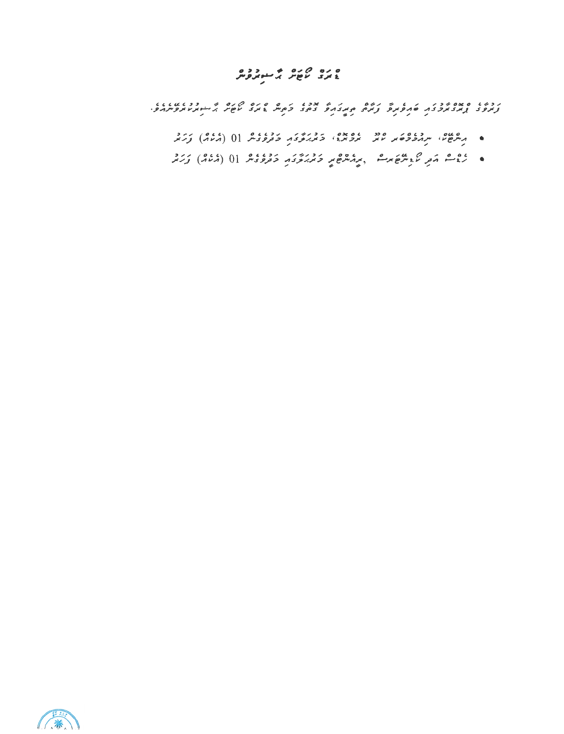# ه ده ۵ ده م سوروه<br>۱۰ تری کام کام کرده

ת כמו האממינית היותר מיותר המוניק מיותר ביתור מים היותר מיותר היותר בנומיות בין בנומיות בין בנומיות בין ליותר<br>המוניק באת באת כאת המוניק באת המוניק ביתור ביתור באת באת באופית העברות באת המוניק באת המוניק באופית המוניק בי<br>ה

- ه مرسی سرموده در مدد و دورو درود دوروس (0 (ملام) ورد.<br>• مرسی سرموده سر سر سردس و سربروی و دوروس (0 (ملام) ورمز
- باق م كريم كريم من المريم من المريك من المريم بن المريم المريم المركز من المركز من المركز من المركز من المركز

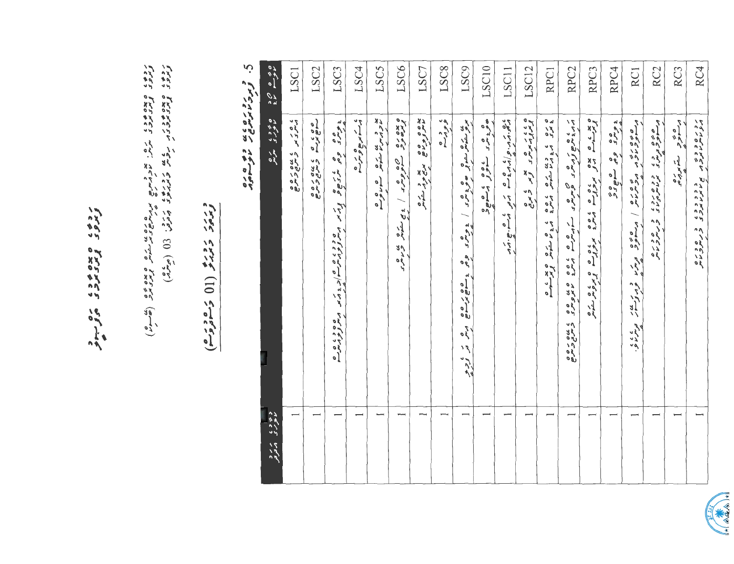| ە بەسمى<br>مەسم مەد         | LSC1                                             | LSC <sub>2</sub> | LSC3                                                            | LSC4                      | LSC5                                            | LSC6                                                                                                                                                                                                                             | LSC7                                                   | LSC8            | LSC9                                                                                                                                                                                                                            | LSC10           | LSC11                                                                          | LSC12                                   | RPC1                                  | RPC <sub>2</sub>                                                                                 | RPC <sub>3</sub>                                                                              | RPC <sub>4</sub> | RC <sub>1</sub>                                                                                                                                                                          | RC <sub>2</sub> | RC <sub>3</sub>    | RC4                                                                   |
|-----------------------------|--------------------------------------------------|------------------|-----------------------------------------------------------------|---------------------------|-------------------------------------------------|----------------------------------------------------------------------------------------------------------------------------------------------------------------------------------------------------------------------------------|--------------------------------------------------------|-----------------|---------------------------------------------------------------------------------------------------------------------------------------------------------------------------------------------------------------------------------|-----------------|--------------------------------------------------------------------------------|-----------------------------------------|---------------------------------------|--------------------------------------------------------------------------------------------------|-----------------------------------------------------------------------------------------------|------------------|------------------------------------------------------------------------------------------------------------------------------------------------------------------------------------------|-----------------|--------------------|-----------------------------------------------------------------------|
| ه ۶۶۶ مره<br>ماموری می      | ، ه ر د س د بن ه ر ه ه<br>د سر د سر د سرح تر سرح | cococo cococo    | و ده و ه پر ده و بر در مورد ده ده دارد کرد مورد و ده ده ده ده د | م شه مربع تو بتر <u>ه</u> | پو د بن ري ه ه و ه<br>مار پس ما مشوش مسلم لومبو | ه عده ده ده ده ده از پاستوس می بده در محمد از محمد به ده در ده در ده در در در ده در ده در دارای در در دارای اس<br>از محمد ده در در ده در در دارای در دارای در در دارای در در دارای در در در در در در در در دارای در دارای در دار | بده وه وه در بده در بره<br>ماسر توم ها مربح موار سنوسر | ، و دره<br>و در | ي من من الله عليه الله عليه الله عليه والله عليه عليه الله عليه الله عليه الله عليه الله عليه الله عليه الله ع<br>الله الله عليه الله عليه الله عليه عليه عليه عليه عليه عليه عليه الله عليه الله عليه الله عليه الله عليه الله | ه دره سورد مصور | ده در داد و به سو مرود به سود تا برد.<br>در به داد داد که در سود استان تا برد. | ه ، ، ، ، ه<br>از مرد مرس د کار کار کار | ه ره به دعایت با وه به دیگر کند و مین | ג גם ג פתור באות האמרי מערכים המים גם הפתור ברוח<br>האמרי האמרי האמרי האמרי מים המים המים המים ה | ه بدن ه بده و روه و با ده و ده و دیگرویکر میکرد<br>از در سال از در دروان در در دروان در دروان | ears are mare    | مقصور دی می هماه امریکایی دید او دیگر کند و دیگایی در مینان در مینان در مینان در مینان در مینان در مینان در می<br>در سوئور دارد می در مینان امریکایی در مینان در مینان در مینان در مینان |                 | دره څوړ سته پر ده. | נדים בבים - בבבבבי בשיפוטים<br>11 מיטי מודעות - מיטי מיטי באייטריטיים |
| وی وی مرم و<br>ماعوری مرکزو |                                                  |                  |                                                                 |                           |                                                 |                                                                                                                                                                                                                                  |                                                        |                 |                                                                                                                                                                                                                                 |                 |                                                                                | ⊣                                       |                                       |                                                                                                  |                                                                                               |                  |                                                                                                                                                                                          |                 |                    |                                                                       |

رده، معده ود، ره ...

reas Extent Lew Extres bell: (0 (540)<br>Leas broact www. device stratery trend (2019)<br>Leas broact www. device ringery was listed (2014)

# د بربر دوبرو (11 5 مود برم)<br>وبربرد دبربرو (11 5 مود برم

5. ژبردیویوی دو ۲۵ مه

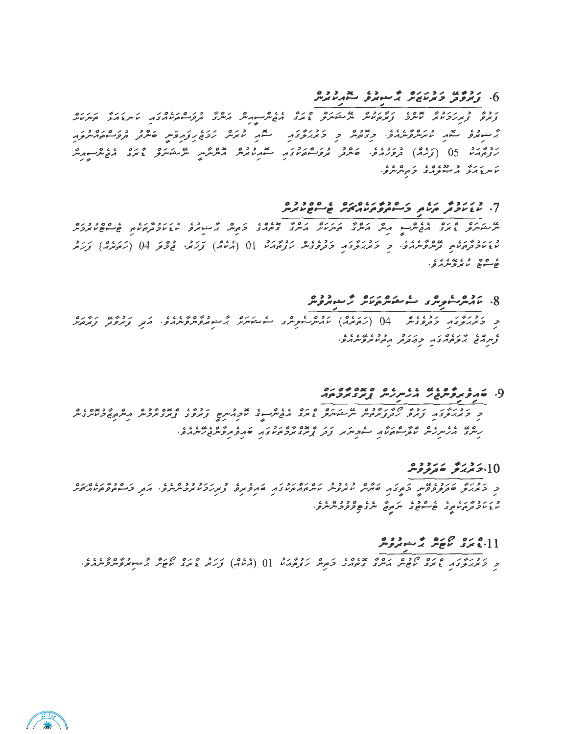#### و دون دورده و درود ده دوه دوه .<br>6- ویرونز ویریزی د دربرو سهریزیر

.<br>ניש ר גורל אייול נולנים על הנוסף ביותר הפיוניינו הוונד בפייים והנואל ליונד ליונד رده دو اور ده وردن، ارده در در در در بعد دوه بوده شد.<br>برنومارس 05 (تربرای تروبرامرو، مقامرتون تروب(موسوم بود برنامرمین میکردید است است است است است است است است است ا ر دره د دده ه د ه ده د.<br>ماس د کرد که سوچه د د ماس در

## 

ט גום סיום גוב הסיים ואודים ואודים ואודים מוקדם אודים מוקדם ביותר היותר המוקדם ומוקדים.<br>תמוכלות אודים ואודים ואודים ואודים המוקדות ואודים בינודים ומקדור האודים ואודים בקודו באודים של מוקדות ואודים ו د ر دوم ر عاده عدد و د د د د د د د د د و د د د و د د د د د د د د از ( د د د د و و به د د د د د د د د د د د د د<br>ما د د د د د د د سروسره د و و بربرتوی د و ترویس ترویم دما [0 ( د ماه) کرترس فروگو 04 ( زیمبره) کرتر ه وه د د د د د د .<br>موسسوم پر بروس پرو.

## 

د درور دوره دوره (کرده) بده و دور کاریکرده به دوره دوره در دوره دوره دوره<br>د دیمبروی دورونگر - 04 (کردیمبر) نامگرسویری کاریکرد بر مورکویرمبرو، ایمبر ویرونز ویرونز 

## و. خدع موه عده عده مده موه موه ده<br>و. خدع مروس مد بر مرسر مدير مرد مرد مرد

ם גם גם בים בים בים המודיעים ביותנו בים המסימים הבים המודיעים בים בים המודיעים.<br>הייתב ההיית היות התוכניות הייתור בבין ביות בים שיבור ליות ביות ביות הייתורים.

#### 10.5 يوپۇ ھەترىۋە بىر

د ر ر د پر ر په په ده د په ر په په په د د ه په په د<br>پاغ پر د مربر مړي ځان سره د په سره د سر د چې د ورح سر سرو

#### 

د درور و ده ماده ماده و برونو بداوا و مرونداد () (ماده) کرد و و ده ماده می باشور و داوار در در دادند.<br>د کم برگرد و نام می می باش و مادر کام در دادند () (ماد) کرد او دو ما می گرسور می دادند و .

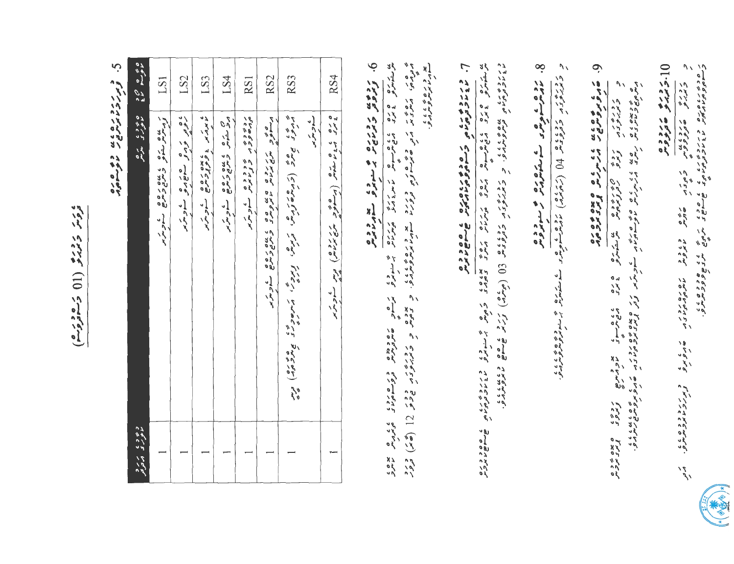ه د ته د د بو (01) د مود د م)

ن.<br>پ و ررد دره ده په به ده وه ده<br>ویرز د نامرس و به ان

|                                | LS1                                                       | LS2                     | LS3                      | LS4                                                                                                                                                                                                                                                                                                                                                                                                                                                                                            | RS1                                                     | RS <sub>2</sub>                                                    | RS3 |             | RS4                                      |
|--------------------------------|-----------------------------------------------------------|-------------------------|--------------------------|------------------------------------------------------------------------------------------------------------------------------------------------------------------------------------------------------------------------------------------------------------------------------------------------------------------------------------------------------------------------------------------------------------------------------------------------------------------------------------------------|---------------------------------------------------------|--------------------------------------------------------------------|-----|-------------|------------------------------------------|
|                                | ر مناه رخاه و ماده ده ه .<br>د ماند رخانو و ماده و ماده . | ، ه د د و ه ه و ه خومبر | ه برتر و دوره و په سامرس | $\begin{array}{lll} \mathcal{C}_{\mathcal{A}} & \mathcal{C}_{\mathcal{A}} & \mathcal{C}_{\mathcal{A}} & \mathcal{C}_{\mathcal{A}} & \mathcal{C}_{\mathcal{A}} & \mathcal{C}_{\mathcal{A}} & \mathcal{C}_{\mathcal{A}} & \mathcal{C}_{\mathcal{A}} & \mathcal{C}_{\mathcal{A}} & \mathcal{C}_{\mathcal{A}} & \mathcal{C}_{\mathcal{A}} & \mathcal{C}_{\mathcal{A}} & \mathcal{C}_{\mathcal{A}} & \mathcal{C}_{\mathcal{A}} & \mathcal{C}_{\mathcal{A}} & \mathcal{C}_{\mathcal{A}} & \mathcal{$ | رده ده د ه د د د ه ه .<br>مرده و د بر د برنامیس سورس بر | סים גדוד סט פט ביטים הסיים.<br>תוכנים המשירות מתפית בתפיתים הזכתית |     | ر کے متر پر | ه ره به ده شوش (مرگوم برندان) درس شویزیر |
| د ۶ و ، م رو<br>ماعر ک م تاریم |                                                           |                         |                          |                                                                                                                                                                                                                                                                                                                                                                                                                                                                                                |                                                         |                                                                    |     |             |                                          |

پو د ره ۶ ، ، ، ،<br>سوپر د برسوه بودر ره د دده<br>همرد مرده دروسوم دی دی می بردی<br>همرد مرم

6. د دوی رود رود و میگیرد و سودر در

 $\frac{1}{2}$ 

 $\overline{\phantom{a}}$ ר. התכתפיתים גם גם המספסים הרי ו האירוב ברוך המיניים ומי המותיק שיות המקוויות ומקבות המיניים ומי המיניים היו המיניים.<br>במהדרדי דרק המיניים ומי המיניים שיות המינייים מקבותיים צמצה המיניים.<br>במהדרדי צמצו דרק אימיים יו המינייקים שיות ה

د دره د د د ده و از کار د ه ده استوس د د و د استوس د ستامتره چاپ سومره و د د د د د د .<br>د مزدم د د د و د د د د ل ( ( کام مرد ) د مارسو شوید و ستامترین چاپ سومرو مار د د د .

0 - مادموسوم مورس کے مقومات کے متوبومو<br>0 - مادموسوم مورس کے مقومات کے متوبومومو

المستورد و محد من المستورد و من المستورد المستورد و المستورد المستورد المستورد المستورد المستورد المستورد المس<br>المستورد المستورد المستورد المستورد المستورد المستورد المستورد المستورد المستورد المستورد المستورد المستورد ال

י הבר שקאי טאפני מסמכים הם לא כ דינכבסטיקט.<br>כתבת שקאי טאפני טאיקומטובה שהפאפ צאינבטאבייניפ.

0 : د دره می د د ده

 $\overline{\mathcal{J}}$ 

ر دره<br>درده روده<br>دردو هنروه وم

י סביב בטיס בינבבים עם בי היה גם הפספרת העל.<br>ב- הספרות המוניק המוניק שיישוב ותפי היה היה המוניק.